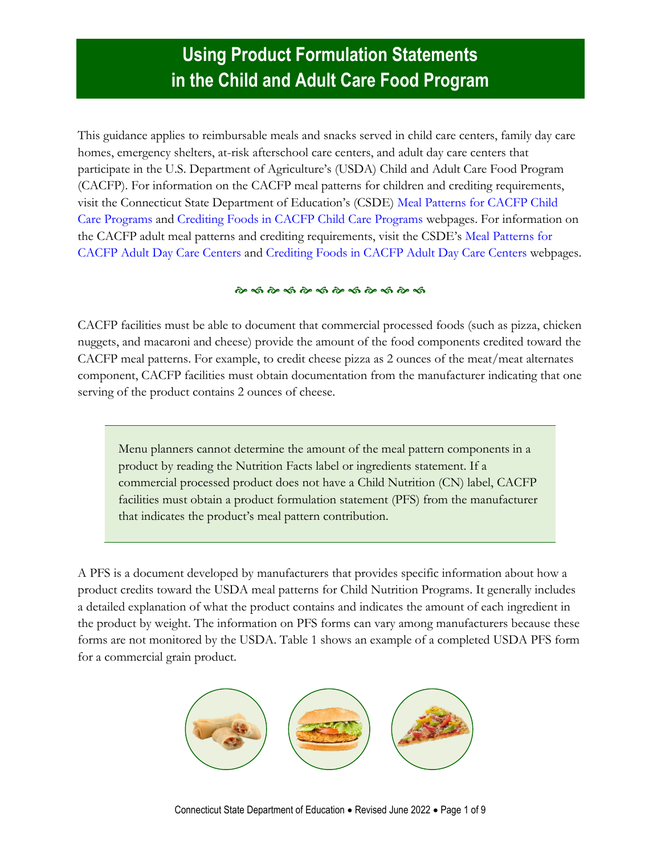## **Using Product Formulation Statements in the Child and Adult Care Food Program**

This guidance applies to reimbursable meals and snacks served in child care centers, family day care homes, emergency shelters, at-risk afterschool care centers, and adult day care centers that participate in the U.S. Department of Agriculture's (USDA) Child and Adult Care Food Program (CACFP). For information on the CACFP meal patterns for children and crediting requirements, visit the Connecticut State Department of Education's (CSDE) [Meal Patterns for CACFP Child](https://portal.ct.gov/SDE/Nutrition/Meal-Patterns-CACFP-Child-Care-Programs)  [Care Programs](https://portal.ct.gov/SDE/Nutrition/Meal-Patterns-CACFP-Child-Care-Programs) and [Crediting Foods in CACFP Child Care Programs](https://portal.ct.gov/SDE/Nutrition/Crediting-Foods-in-CACFP-Child-Care-Programs) webpages. For information on the CACFP adult meal patterns and crediting requirements, visit the CSDE's [Meal Patterns for](https://portal.ct.gov/SDE/Nutrition/Meal-Patterns-CACFP-Adult-Centers)  [CACFP Adult Day Care Centers](https://portal.ct.gov/SDE/Nutrition/Meal-Patterns-CACFP-Adult-Centers) and [Crediting Foods in CACFP Adult Day Care Centers](https://portal.ct.gov/SDE/Nutrition/Crediting-Foods-in-CACFP-Adult-Day-Care-Centers) webpages.

#### 

CACFP facilities must be able to document that commercial processed foods (such as pizza, chicken nuggets, and macaroni and cheese) provide the amount of the food components credited toward the CACFP meal patterns. For example, to credit cheese pizza as 2 ounces of the meat/meat alternates component, CACFP facilities must obtain documentation from the manufacturer indicating that one serving of the product contains 2 ounces of cheese.

Menu planners cannot determine the amount of the meal pattern components in a product by reading the Nutrition Facts label or ingredients statement. If a commercial processed product does not have a Child Nutrition (CN) label, CACFP facilities must obtain a product formulation statement (PFS) from the manufacturer that indicates the product's meal pattern contribution.

A PFS is a document developed by manufacturers that provides specific information about how a product credits toward the USDA meal patterns for Child Nutrition Programs. It generally includes a detailed explanation of what the product contains and indicates the amount of each ingredient in the product by weight. The information on PFS forms can vary among manufacturers because these forms are not monitored by the USDA. Table 1 shows an example of a completed USDA PFS form for a commercial grain product.

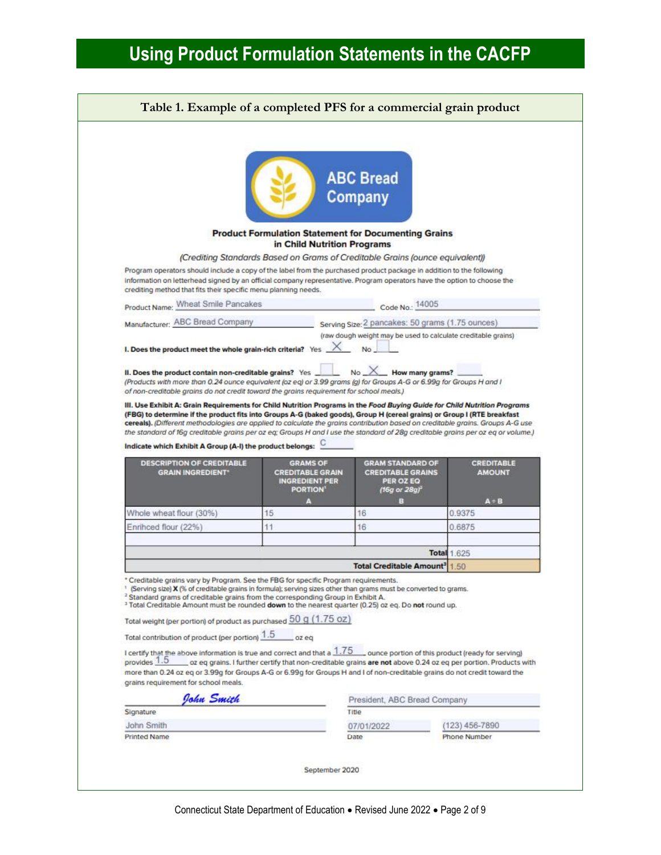|                                                                                                                                                                                                                                                                                                                                                                                                                                                                                                                                                                                                                                                                                                                                                                                                                                                                                                                                                           |                                                                                            | <b>ABC Bread</b><br>Company                                                          |                                    |
|-----------------------------------------------------------------------------------------------------------------------------------------------------------------------------------------------------------------------------------------------------------------------------------------------------------------------------------------------------------------------------------------------------------------------------------------------------------------------------------------------------------------------------------------------------------------------------------------------------------------------------------------------------------------------------------------------------------------------------------------------------------------------------------------------------------------------------------------------------------------------------------------------------------------------------------------------------------|--------------------------------------------------------------------------------------------|--------------------------------------------------------------------------------------|------------------------------------|
|                                                                                                                                                                                                                                                                                                                                                                                                                                                                                                                                                                                                                                                                                                                                                                                                                                                                                                                                                           | <b>Product Formulation Statement for Documenting Grains</b><br>in Child Nutrition Programs |                                                                                      |                                    |
|                                                                                                                                                                                                                                                                                                                                                                                                                                                                                                                                                                                                                                                                                                                                                                                                                                                                                                                                                           | (Crediting Standards Based on Grams of Creditable Grains (ounce equivalent))               |                                                                                      |                                    |
| Program operators should include a copy of the label from the purchased product package in addition to the following<br>information on letterhead signed by an official company representative. Program operators have the option to choose the<br>crediting method that fits their specific menu planning needs.                                                                                                                                                                                                                                                                                                                                                                                                                                                                                                                                                                                                                                         |                                                                                            |                                                                                      |                                    |
| Product Name: Wheat Smile Pancakes                                                                                                                                                                                                                                                                                                                                                                                                                                                                                                                                                                                                                                                                                                                                                                                                                                                                                                                        |                                                                                            | Code No. 14005                                                                       |                                    |
| Manufacturer: ABC Bread Company                                                                                                                                                                                                                                                                                                                                                                                                                                                                                                                                                                                                                                                                                                                                                                                                                                                                                                                           |                                                                                            | Serving Size: 2 pancakes: 50 grams (1.75 ounces)                                     |                                    |
| I. Does the product meet the whole grain-rich criteria? Yes $\overline{\phantom{a}}$<br>II. Does the product contain non-creditable grains? Yes _<br>(Products with more than 0.24 ounce equivalent (oz eq) or 3.99 grams (g) for Groups A-G or 6.99g for Groups H and I<br>of non-creditable grains do not credit toward the grains requirement for school meals.)                                                                                                                                                                                                                                                                                                                                                                                                                                                                                                                                                                                       |                                                                                            | $No \ \ X$ How many grams?                                                           |                                    |
|                                                                                                                                                                                                                                                                                                                                                                                                                                                                                                                                                                                                                                                                                                                                                                                                                                                                                                                                                           |                                                                                            |                                                                                      |                                    |
| III. Use Exhibit A: Grain Requirements for Child Nutrition Programs in the Food Buying Guide for Child Nutrition Programs<br>(FBG) to determine if the product fits into Groups A-G (baked goods), Group H (cereal grains) or Group I (RTE breakfast<br>cereals). (Different methodologies are applied to calculate the grains contribution based on creditable grains. Groups A-G use<br>the standard of 16g creditable grains per oz eq; Groups H and I use the standard of 28g creditable grains per oz eq or volume.)<br>Indicate which Exhibit A Group (A-I) the product belongs:<br><b>DESCRIPTION OF CREDITABLE</b><br><b>GRAIN INGREDIENT*</b>                                                                                                                                                                                                                                                                                                    | <b>GRAMS OF</b><br><b>CREDITABLE GRAIN</b><br><b>INGREDIENT PER</b><br><b>PORTION'</b>     | <b>GRAM STANDARD OF</b><br><b>CREDITABLE GRAINS</b><br>PER OZ EQ<br>(16g or $28gf^2$ | <b>CREDITABLE</b><br><b>AMOUNT</b> |
| Whole wheat flour (30%)                                                                                                                                                                                                                                                                                                                                                                                                                                                                                                                                                                                                                                                                                                                                                                                                                                                                                                                                   | 15                                                                                         | 16                                                                                   | $A + B$<br>0.9375                  |
| Enrihced flour (22%)                                                                                                                                                                                                                                                                                                                                                                                                                                                                                                                                                                                                                                                                                                                                                                                                                                                                                                                                      | 11                                                                                         | 16                                                                                   | 0.6875                             |
|                                                                                                                                                                                                                                                                                                                                                                                                                                                                                                                                                                                                                                                                                                                                                                                                                                                                                                                                                           |                                                                                            |                                                                                      |                                    |
|                                                                                                                                                                                                                                                                                                                                                                                                                                                                                                                                                                                                                                                                                                                                                                                                                                                                                                                                                           |                                                                                            |                                                                                      | <b>Total 1.625</b>                 |
|                                                                                                                                                                                                                                                                                                                                                                                                                                                                                                                                                                                                                                                                                                                                                                                                                                                                                                                                                           |                                                                                            | <b>Total Creditable Amount<sup>3</sup></b>                                           | 1.50                               |
| * Creditable grains vary by Program. See the FBG for specific Program requirements.<br>×,<br>(Serving size) X (% of creditable grains in formula); serving sizes other than grams must be converted to grams.<br><sup>2</sup> Standard grams of creditable grains from the corresponding Group in Exhibit A.<br><sup>3</sup> Total Creditable Amount must be rounded down to the nearest quarter (0.25) oz eq. Do not round up.<br>Total weight (per portion) of product as purchased 50 g (1.75 oz)<br>Total contribution of product (per portion) 1.5<br>I certify that the above information is true and correct and that a $1.75$ ounce portion of this product (ready for serving)<br>provides 1.5 ____ oz eq grains. I further certify that non-creditable grains are not above 0.24 oz eq per portion. Products with<br>more than 0.24 oz eq or 3.99g for Groups A-G or 6.99g for Groups H and I of non-creditable grains do not credit toward the | $oc$ eq                                                                                    |                                                                                      |                                    |
| grains requirement for school meals.<br>John Smith                                                                                                                                                                                                                                                                                                                                                                                                                                                                                                                                                                                                                                                                                                                                                                                                                                                                                                        |                                                                                            | President, ABC Bread Company                                                         |                                    |
| Signature                                                                                                                                                                                                                                                                                                                                                                                                                                                                                                                                                                                                                                                                                                                                                                                                                                                                                                                                                 |                                                                                            | Title                                                                                |                                    |
| John Smith                                                                                                                                                                                                                                                                                                                                                                                                                                                                                                                                                                                                                                                                                                                                                                                                                                                                                                                                                |                                                                                            | 07/01/2022                                                                           | (123) 456-7890                     |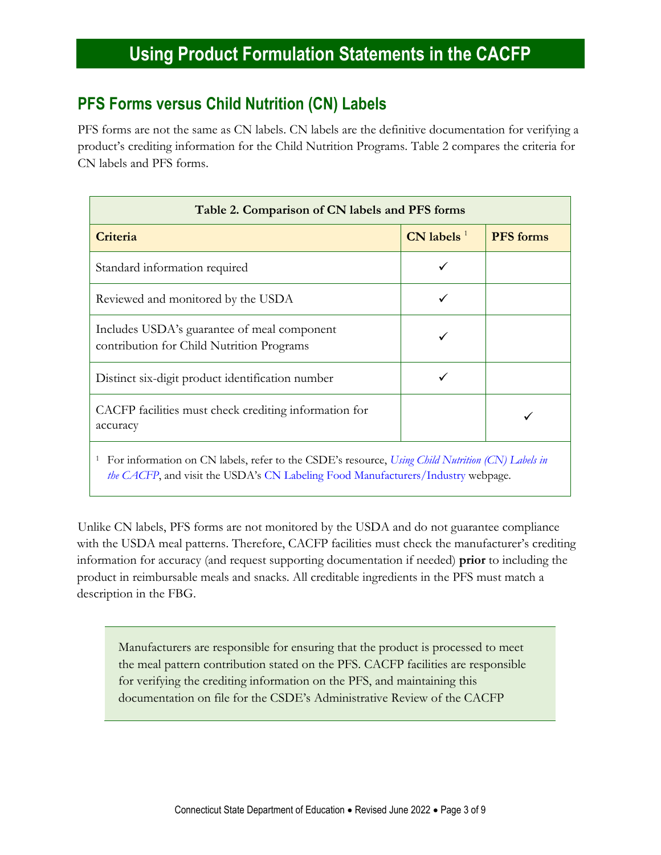### **PFS Forms versus Child Nutrition (CN) Labels**

PFS forms are not the same as CN labels. CN labels are the definitive documentation for verifying a product's crediting information for the Child Nutrition Programs. Table 2 compares the criteria for CN labels and PFS forms.

| Table 2. Comparison of CN labels and PFS forms                                                   |                 |                  |  |  |
|--------------------------------------------------------------------------------------------------|-----------------|------------------|--|--|
| Criteria                                                                                         | $CN$ labels $1$ | <b>PFS</b> forms |  |  |
| Standard information required                                                                    |                 |                  |  |  |
| Reviewed and monitored by the USDA                                                               |                 |                  |  |  |
| Includes USDA's guarantee of meal component<br>contribution for Child Nutrition Programs         |                 |                  |  |  |
| Distinct six-digit product identification number                                                 |                 |                  |  |  |
| CACFP facilities must check crediting information for<br>accuracy                                |                 |                  |  |  |
| For information on CN labels, refer to the CSDE's resource. Using Child Nutrition (CN) Labels in |                 |                  |  |  |

<sup>1</sup> For information on CN labels, refer to the CSDE's resource, *[Using Child Nutrition \(CN\) Labels in](https://portal.ct.gov/-/media/SDE/Nutrition/CACFP/Crediting/Using_CN_labels_CACFP.pdf)  [the CACFP](https://portal.ct.gov/-/media/SDE/Nutrition/CACFP/Crediting/Using_CN_labels_CACFP.pdf)*, and visit the USDA's [CN Labeling Food Manufacturers/Industry](https://www.fns.usda.gov/cnlabeling/food-manufacturersindustry) webpage.

Unlike CN labels, PFS forms are not monitored by the USDA and do not guarantee compliance with the USDA meal patterns. Therefore, CACFP facilities must check the manufacturer's crediting information for accuracy (and request supporting documentation if needed) **prior** to including the product in reimbursable meals and snacks. All creditable ingredients in the PFS must match a description in the FBG.

Manufacturers are responsible for ensuring that the product is processed to meet the meal pattern contribution stated on the PFS. CACFP facilities are responsible for verifying the crediting information on the PFS, and maintaining this documentation on file for the CSDE's Administrative Review of the CACFP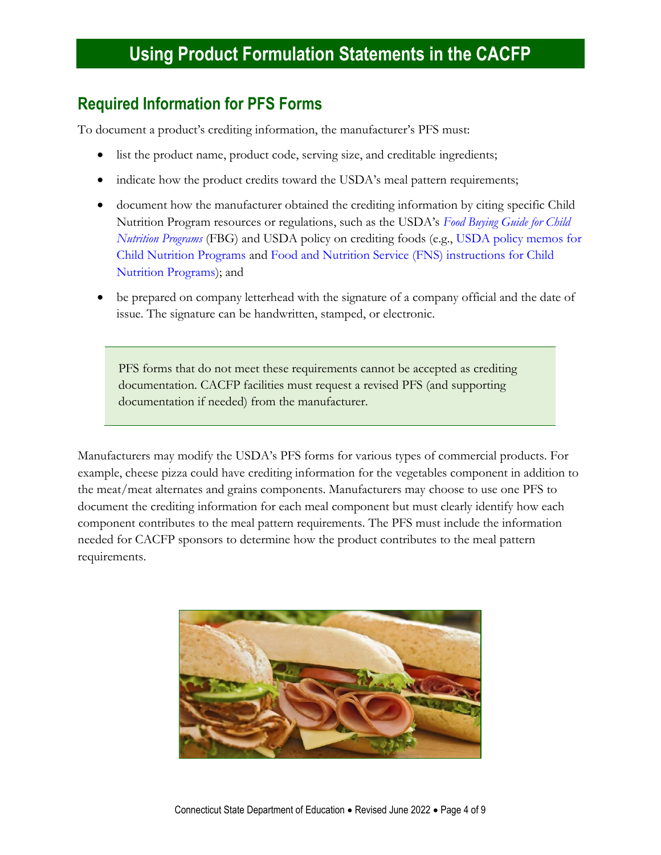### **Required Information for PFS Forms**

To document a product's crediting information, the manufacturer's PFS must:

- list the product name, product code, serving size, and creditable ingredients;
- indicate how the product credits toward the USDA's meal pattern requirements;
- document how the manufacturer obtained the crediting information by citing specific Child Nutrition Program resources or regulations, such as the USDA's *[Food Buying Guide for Child](https://www.fns.usda.gov/tn/food-buying-guide-for-child-nutrition-programs)  [Nutrition Programs](https://www.fns.usda.gov/tn/food-buying-guide-for-child-nutrition-programs)* (FBG) and USDA policy on crediting foods (e.g., [USDA policy memos for](https://www.fns.usda.gov/resources)  [Child Nutrition Programs](https://www.fns.usda.gov/resources) and [Food and Nutrition Service \(FNS\) instructions for Child](https://portal.ct.gov/SDE/Nutrition/FNS-Instructions-for-Child-Nutrition-Programs)  [Nutrition Programs\)](https://portal.ct.gov/SDE/Nutrition/FNS-Instructions-for-Child-Nutrition-Programs); and
- be prepared on company letterhead with the signature of a company official and the date of issue. The signature can be handwritten, stamped, or electronic.

PFS forms that do not meet these requirements cannot be accepted as crediting documentation. CACFP facilities must request a revised PFS (and supporting documentation if needed) from the manufacturer.

Manufacturers may modify the USDA's PFS forms for various types of commercial products. For example, cheese pizza could have crediting information for the vegetables component in addition to the meat/meat alternates and grains components. Manufacturers may choose to use one PFS to document the crediting information for each meal component but must clearly identify how each component contributes to the meal pattern requirements. The PFS must include the information needed for CACFP sponsors to determine how the product contributes to the meal pattern requirements.

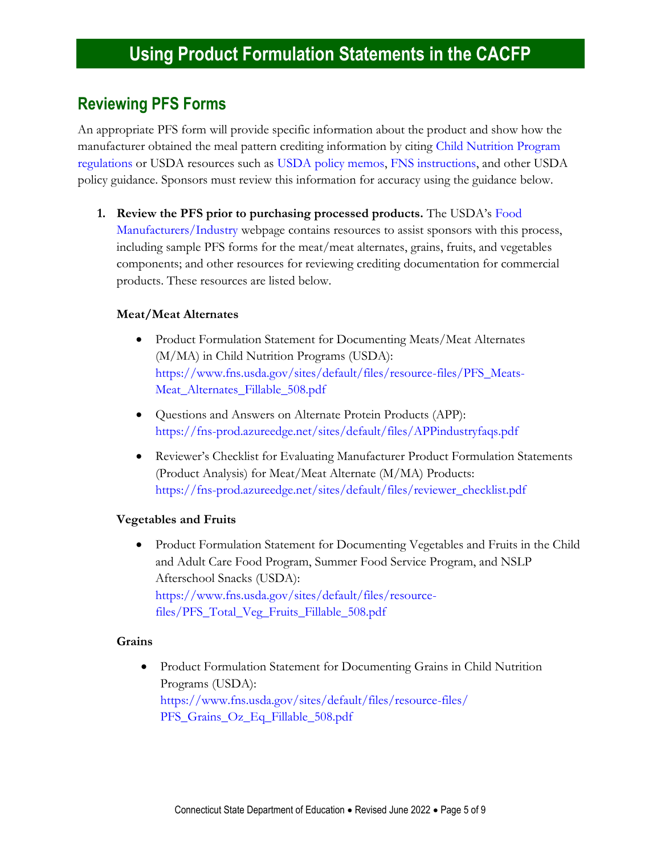### **Reviewing PFS Forms**

An appropriate PFS form will provide specific information about the product and show how the manufacturer obtained the meal pattern crediting information by citing [Child Nutrition Program](https://portal.ct.gov/SDE/Nutrition/Laws-and-Regulations-for-Child-Nutrition-Programs#USDARegulations)  [regulations](https://portal.ct.gov/SDE/Nutrition/Laws-and-Regulations-for-Child-Nutrition-Programs#USDARegulations) or USDA resources such as [USDA policy memos,](https://www.fns.usda.gov/resources?f%5B0%5D=resource_type%3A160) [FNS instructions,](https://portal.ct.gov/SDE/Nutrition/FNS-Instructions-for-Child-Nutrition-Programs) and other USDA policy guidance. Sponsors must review this information for accuracy using the guidance below.

**1. Review the PFS prior to purchasing processed products.** The USDA's [Food](https://www.fns.usda.gov/cnlabeling/food-manufacturersindustry)  [Manufacturers/Industry w](https://www.fns.usda.gov/cnlabeling/food-manufacturersindustry)ebpage contains resources to assist sponsors with this process, including sample PFS forms for the meat/meat alternates, grains, fruits, and vegetables components; and other resources for reviewing crediting documentation for commercial products. These resources are listed below.

#### **Meat/Meat Alternates**

- Product Formulation Statement for Documenting Meats/Meat Alternates (M/MA) in Child Nutrition Programs (USDA): [https://www.fns.usda.gov/sites/default/files/resource-files/PFS\\_Meats-](https://www.fns.usda.gov/sites/default/files/resource-files/PFS_Meats-Meat_Alternates_Fillable_508.pdf)[Meat\\_Alternates\\_Fillable\\_508.pdf](https://www.fns.usda.gov/sites/default/files/resource-files/PFS_Meats-Meat_Alternates_Fillable_508.pdf)
- Questions and Answers on Alternate Protein Products (APP): <https://fns-prod.azureedge.net/sites/default/files/APPindustryfaqs.pdf>
- Reviewer's Checklist for Evaluating Manufacturer Product Formulation Statements (Product Analysis) for Meat/Meat Alternate (M/MA) Products: [https://fns-prod.azureedge.net/sites/default/files/reviewer\\_checklist.pdf](https://fns-prod.azureedge.net/sites/default/files/reviewer_checklist.pdf)

#### **Vegetables and Fruits**

• Product Formulation Statement for Documenting Vegetables and Fruits in the Child and Adult Care Food Program, Summer Food Service Program, and NSLP Afterschool Snacks (USDA): [https://www.fns.usda.gov/sites/default/files/resource](https://www.fns.usda.gov/sites/default/files/resource-files/PFS_Total_Veg_Fruits_Fillable_508.pdf)[files/PFS\\_Total\\_Veg\\_Fruits\\_Fillable\\_508.pdf](https://www.fns.usda.gov/sites/default/files/resource-files/PFS_Total_Veg_Fruits_Fillable_508.pdf)

#### **Grains**

• Product Formulation Statement for Documenting Grains in Child Nutrition Programs (USDA): [https://www.fns.usda.gov/sites/default/files/resource-files/](https://www.fns.usda.gov/sites/default/files/resource-files/PFS_Grains_Oz_Eq_Fillable_508.pdf) [PFS\\_Grains\\_Oz\\_Eq\\_Fillable\\_508.pdf](https://www.fns.usda.gov/sites/default/files/resource-files/PFS_Grains_Oz_Eq_Fillable_508.pdf)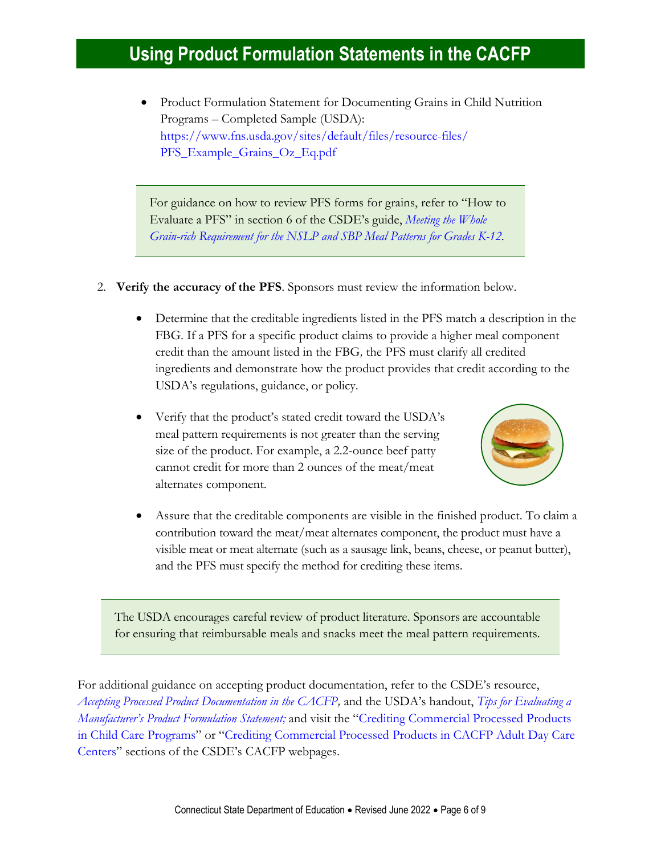• Product Formulation Statement for Documenting Grains in Child Nutrition Programs – Completed Sample (USDA): [https://www.fns.usda.gov/sites/default/files/resource-files/](https://www.fns.usda.gov/sites/default/files/resource-files/PFS_Example_Grains_Oz_Eq.pdf) [PFS\\_Example\\_Grains\\_Oz\\_Eq.pdf](https://www.fns.usda.gov/sites/default/files/resource-files/PFS_Example_Grains_Oz_Eq.pdf)

For guidance on how to review PFS forms for grains, refer to "How to Evaluate a PFS" in section 6 of the CSDE's guide, *[Meeting the Whole](https://portal.ct.gov/-/media/SDE/Nutrition/NSLP/Crediting/WGR_Requirement_SNP_grades_K-12.pdf)  [Grain-rich Requirement for the NSLP and SBP Meal Patterns for Grades K-12](https://portal.ct.gov/-/media/SDE/Nutrition/NSLP/Crediting/WGR_Requirement_SNP_grades_K-12.pdf)*.

- 2. **Verify the accuracy of the PFS**. Sponsors must review the information below.
	- Determine that the creditable ingredients listed in the PFS match a description in the FBG. If a PFS for a specific product claims to provide a higher meal component credit than the amount listed in the FBG*,* the PFS must clarify all credited ingredients and demonstrate how the product provides that credit according to the USDA's regulations, guidance, or policy.
	- Verify that the product's stated credit toward the USDA's meal pattern requirements is not greater than the serving size of the product. For example, a 2.2-ounce beef patty cannot credit for more than 2 ounces of the meat/meat alternates component.



• Assure that the creditable components are visible in the finished product. To claim a contribution toward the meat/meat alternates component, the product must have a visible meat or meat alternate (such as a sausage link, beans, cheese, or peanut butter), and the PFS must specify the method for crediting these items.

The USDA encourages careful review of product literature. Sponsors are accountable for ensuring that reimbursable meals and snacks meet the meal pattern requirements.

For additional guidance on accepting product documentation, refer to the CSDE's resource, *[Accepting Processed Product Documentation in the CACFP,](https://portal.ct.gov/-/media/SDE/Nutrition/CACFP/Crediting/Accepting_Processed_Product_Documentation_CACFP.pdf)* and the USDA's handout, *[Tips for Evaluating a](https://www.fns.usda.gov/sites/default/files/cn/manufacturerPFStipsheet.pdf)  [Manufacturer's Product Formulation Statement](https://www.fns.usda.gov/sites/default/files/cn/manufacturerPFStipsheet.pdf);* and visit the "[Crediting Commercial Processed Products](https://portal.ct.gov/SDE/Nutrition/Crediting-Foods-in-CACFP-Child-Care-Programs/Documents#CommercialProducts)  [in Child Care Programs](https://portal.ct.gov/SDE/Nutrition/Crediting-Foods-in-CACFP-Child-Care-Programs/Documents#CommercialProducts)" or "[Crediting Commercial Processed Products in CACFP Adult Day Care](https://portal.ct.gov/SDE/Nutrition/Crediting-Foods-in-CACFP-Adult-Day-Care-Centers/Documents#CommercialProducts)  [Centers](https://portal.ct.gov/SDE/Nutrition/Crediting-Foods-in-CACFP-Adult-Day-Care-Centers/Documents#CommercialProducts)" sections of the CSDE's CACFP webpages.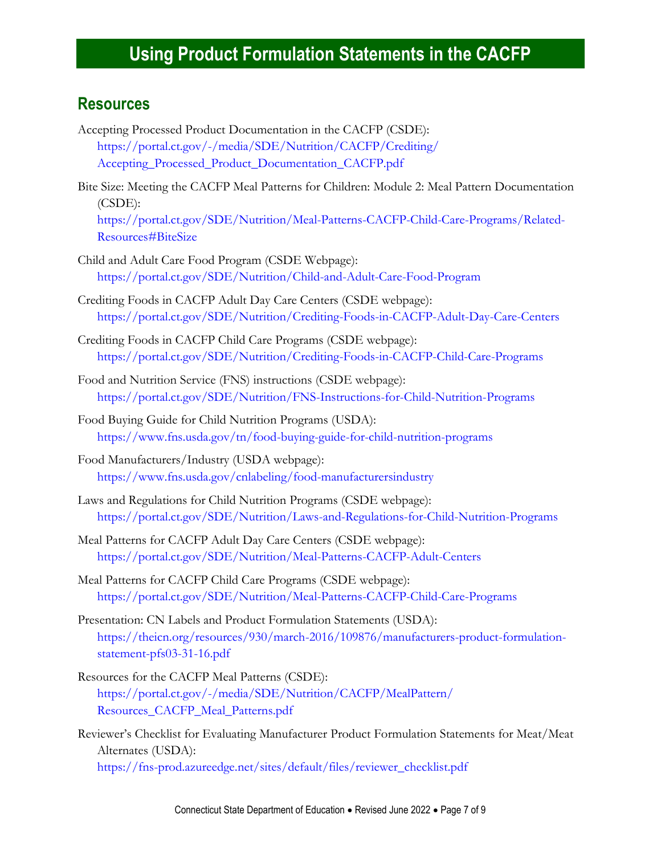### **Resources**

- Accepting Processed Product Documentation in the CACFP (CSDE): [https://portal.ct.gov/-/media/SDE/Nutrition/CACFP/Crediting/](https://portal.ct.gov/-/media/SDE/Nutrition/CACFP/Crediting/Accepting_Processed_Product_Documentation_CACFP.pdf) [Accepting\\_Processed\\_Product\\_Documentation\\_CACFP.pdf](https://portal.ct.gov/-/media/SDE/Nutrition/CACFP/Crediting/Accepting_Processed_Product_Documentation_CACFP.pdf)
- Bite Size: Meeting the CACFP Meal Patterns for Children: Module 2: Meal Pattern Documentation (CSDE): [https://portal.ct.gov/SDE/Nutrition/Meal-Patterns-CACFP-Child-Care-Programs/Related-](https://portal.ct.gov/SDE/Nutrition/Meal-Patterns-CACFP-Child-Care-Programs/Related-Resources#BiteSize)[Resources#BiteSize](https://portal.ct.gov/SDE/Nutrition/Meal-Patterns-CACFP-Child-Care-Programs/Related-Resources#BiteSize)
- Child and Adult Care Food Program (CSDE Webpage): <https://portal.ct.gov/SDE/Nutrition/Child-and-Adult-Care-Food-Program>
- Crediting Foods in CACFP Adult Day Care Centers (CSDE webpage): [https://portal.ct.gov/SDE/Nutrition/Crediting-Foods-in-CACFP-Adult-Day-Care-Centers](http://portal.ct.gov/SDE/Nutrition/Crediting-Foods-in-CACFP-Adult-Day-Care-Centers)
- Crediting Foods in CACFP Child Care Programs (CSDE webpage): [https://portal.ct.gov/SDE/Nutrition/Crediting-Foods-in-CACFP-Child-Care-Programs](http://portal.ct.gov/SDE/Nutrition/Crediting-Foods-in-CACFP-Child-Care-Programs)
- Food and Nutrition Service (FNS) instructions (CSDE webpage): <https://portal.ct.gov/SDE/Nutrition/FNS-Instructions-for-Child-Nutrition-Programs>
- Food Buying Guide for Child Nutrition Programs (USDA): <https://www.fns.usda.gov/tn/food-buying-guide-for-child-nutrition-programs>
- Food Manufacturers/Industry (USDA webpage): <https://www.fns.usda.gov/cnlabeling/food-manufacturersindustry>
- Laws and Regulations for Child Nutrition Programs (CSDE webpage): <https://portal.ct.gov/SDE/Nutrition/Laws-and-Regulations-for-Child-Nutrition-Programs>
- Meal Patterns for CACFP Adult Day Care Centers (CSDE webpage): [https://portal.ct.gov/SDE/Nutrition/Meal-Patterns-CACFP-Adult-Centers](http://portal.ct.gov/SDE/Nutrition/Meal-Patterns-CACFP-Adult-Centers)
- Meal Patterns for CACFP Child Care Programs (CSDE webpage): [https://portal.ct.gov/SDE/Nutrition/Meal-Patterns-CACFP-Child-Care-Programs](http://portal.ct.gov/SDE/Nutrition/Meal-Patterns-CACFP-Child-Care-Programs)
- Presentation: CN Labels and Product Formulation Statements (USDA): [https://theicn.org/resources/930/march-2016/109876/manufacturers-product-formulation](https://theicn.org/resources/930/march-2016/109876/manufacturers-product-formulation-statement-pfs03-31-16.pdf)[statement-pfs03-31-16.pdf](https://theicn.org/resources/930/march-2016/109876/manufacturers-product-formulation-statement-pfs03-31-16.pdf)
- Resources for the CACFP Meal Patterns (CSDE): [https://portal.ct.gov/-/media/SDE/Nutrition/CACFP/MealPattern/](https://portal.ct.gov/-/media/SDE/Nutrition/CACFP/MealPattern/Resources_CACFP_Meal_Patterns.pdf) [Resources\\_CACFP\\_Meal\\_Patterns.pdf](https://portal.ct.gov/-/media/SDE/Nutrition/CACFP/MealPattern/Resources_CACFP_Meal_Patterns.pdf)
- Reviewer's Checklist for Evaluating Manufacturer Product Formulation Statements for Meat/Meat Alternates (USDA): [https://fns-prod.azureedge.net/sites/default/files/reviewer\\_checklist.pdf](https://fns-prod.azureedge.net/sites/default/files/reviewer_checklist.pdf)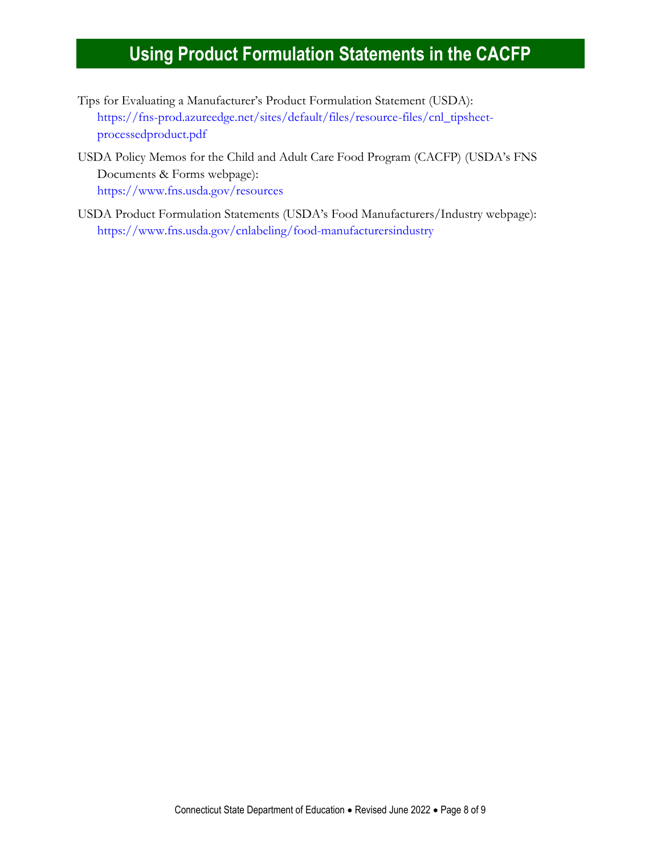- Tips for Evaluating a Manufacturer's Product Formulation Statement (USDA): [https://fns-prod.azureedge.net/sites/default/files/resource-files/cnl\\_tipsheet](https://fns-prod.azureedge.net/sites/default/files/resource-files/cnl_tipsheet-processedproduct.pdf)[processedproduct.pdf](https://fns-prod.azureedge.net/sites/default/files/resource-files/cnl_tipsheet-processedproduct.pdf)
- USDA Policy Memos for the Child and Adult Care Food Program (CACFP) (USDA's FNS Documents & Forms webpage): <https://www.fns.usda.gov/resources>
- USDA Product Formulation Statements (USDA's Food Manufacturers/Industry webpage): <https://www.fns.usda.gov/cnlabeling/food-manufacturersindustry>